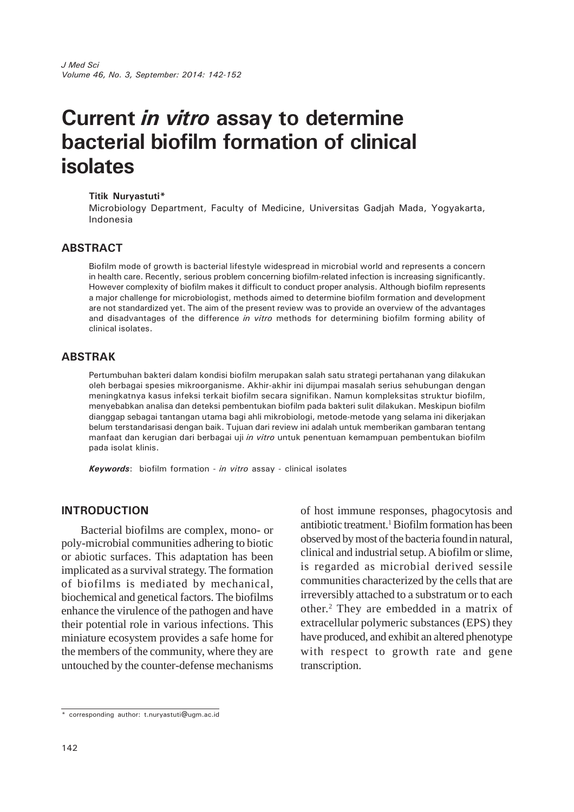# **Current** *in vitro* **assay to determine bacterial biofilm formation of clinical isolates**

#### **Titik Nuryastuti\***

Microbiology Department, Faculty of Medicine, Universitas Gadjah Mada, Yogyakarta, Indonesia

## **ABSTRACT**

Biofilm mode of growth is bacterial lifestyle widespread in microbial world and represents a concern in health care. Recently, serious problem concerning biofilm-related infection is increasing significantly. However complexity of biofilm makes it difficult to conduct proper analysis. Although biofilm represents a major challenge for microbiologist, methods aimed to determine biofilm formation and development are not standardized yet. The aim of the present review was to provide an overview of the advantages and disadvantages of the difference *in vitro* methods for determining biofilm forming ability of clinical isolates.

## **ABSTRAK**

Pertumbuhan bakteri dalam kondisi biofilm merupakan salah satu strategi pertahanan yang dilakukan oleh berbagai spesies mikroorganisme. Akhir-akhir ini dijumpai masalah serius sehubungan dengan meningkatnya kasus infeksi terkait biofilm secara signifikan. Namun kompleksitas struktur biofilm, menyebabkan analisa dan deteksi pembentukan biofilm pada bakteri sulit dilakukan. Meskipun biofilm dianggap sebagai tantangan utama bagi ahli mikrobiologi, metode-metode yang selama ini dikerjakan belum terstandarisasi dengan baik. Tujuan dari review ini adalah untuk memberikan gambaran tentang manfaat dan kerugian dari berbagai uji *in vitro* untuk penentuan kemampuan pembentukan biofilm pada isolat klinis.

*Keywords*: biofilm formation - *in vitro* assay - clinical isolates

#### **INTRODUCTION**

Bacterial biofilms are complex, mono- or poly-microbial communities adhering to biotic or abiotic surfaces. This adaptation has been implicated as a survival strategy. The formation of biofilms is mediated by mechanical, biochemical and genetical factors. The biofilms enhance the virulence of the pathogen and have their potential role in various infections. This miniature ecosystem provides a safe home for the members of the community, where they are untouched by the counter-defense mechanisms

of host immune responses, phagocytosis and antibiotic treatment.<sup>1</sup> Biofilm formation has been observed by most of the bacteria foundin natural, clinical and industrial setup. A biofilm or slime, is regarded as microbial derived sessile communities characterized by the cells that are irreversibly attached to a substratum or to each other.2 They are embedded in a matrix of extracellular polymeric substances (EPS) they have produced, and exhibit an altered phenotype with respect to growth rate and gene transcription.

<sup>\*</sup> corresponding author: t.nuryastuti@ugm.ac.id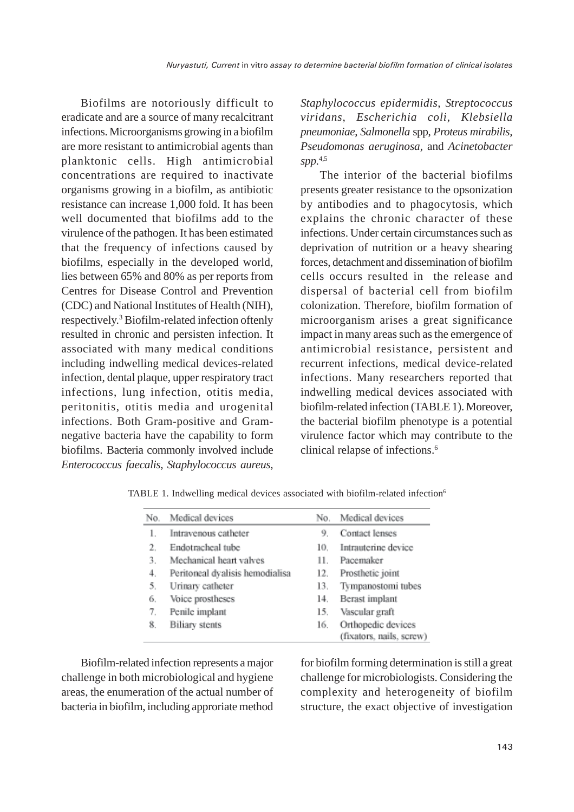Biofilms are notoriously difficult to eradicate and are a source of many recalcitrant infections. Microorganisms growing in a biofilm are more resistant to antimicrobial agents than planktonic cells. High antimicrobial concentrations are required to inactivate organisms growing in a biofilm, as antibiotic resistance can increase 1,000 fold. It has been well documented that biofilms add to the virulence of the pathogen. It has been estimated that the frequency of infections caused by biofilms, especially in the developed world, lies between 65% and 80% as per reports from Centres for Disease Control and Prevention (CDC) and National Institutes of Health (NIH), respectively.<sup>3</sup> Biofilm-related infection oftenly resulted in chronic and persisten infection. It associated with many medical conditions including indwelling medical devices-related infection, dental plaque, upper respiratory tract infections, lung infection, otitis media, peritonitis, otitis media and urogenital infections. Both Gram-positive and Gramnegative bacteria have the capability to form biofilms. Bacteria commonly involved include *Enterococcus faecalis*, *Staphylococcus aureus*, *Staphylococcus epidermidis*, *Streptococcus viridans*, *Escherichia coli*, *Klebsiella pneumoniae*, *Salmonella* spp, *Proteus mirabilis, Pseudomonas aeruginosa,* and *Acinetobacter spp.*4,5

The interior of the bacterial biofilms presents greater resistance to the opsonization by antibodies and to phagocytosis, which explains the chronic character of these infections. Under certain circumstances such as deprivation of nutrition or a heavy shearing forces, detachment and dissemination of biofilm cells occurs resulted in the release and dispersal of bacterial cell from biofilm colonization. Therefore, biofilm formation of microorganism arises a great significance impact in many areas such as the emergence of antimicrobial resistance, persistent and recurrent infections, medical device-related infections. Many researchers reported that indwelling medical devices associated with biofilm-related infection (TABLE 1). Moreover, the bacterial biofilm phenotype is a potential virulence factor which may contribute to the clinical relapse of infections.6

| No. | Medical devices                 | No. | Medical devices          |
|-----|---------------------------------|-----|--------------------------|
| 1.  | Intravenous catheter            | 9.  | Contact lenses           |
| 2.  | Endotracheal tube               | 10. | Intrauterine device      |
| 3.  | Mechanical heart valves         | 11. | Pacemaker                |
| 4.  | Peritoneal dyalisis hemodialisa | 12. | Prosthetic joint         |
| 5.  | Urinary catheter                | 13. | Tympanostomi tubes       |
| 6.  | Voice prostheses                | 14. | Berast implant           |
| 7.  | Penile implant                  | 15. | Vascular graft           |
| 8.  | <b>Biliary</b> stents           | 16. | Orthopedic devices       |
|     |                                 |     | (fixators, nails, screw) |

TABLE 1. Indwelling medical devices associated with biofilm-related infection6

Biofilm-related infection represents a major challenge in both microbiological and hygiene areas, the enumeration of the actual number of bacteria in biofilm, including approriate method for biofilm forming determination is still a great challenge for microbiologists. Considering the complexity and heterogeneity of biofilm structure, the exact objective of investigation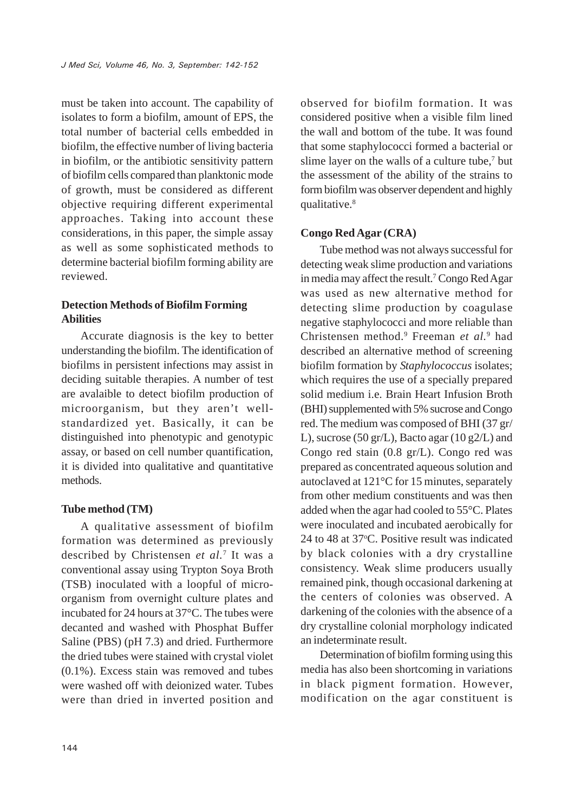must be taken into account. The capability of isolates to form a biofilm, amount of EPS, the total number of bacterial cells embedded in biofilm, the effective number of living bacteria in biofilm, or the antibiotic sensitivity pattern of biofilm cells compared than planktonic mode of growth, must be considered as different objective requiring different experimental approaches. Taking into account these considerations, in this paper, the simple assay as well as some sophisticated methods to determine bacterial biofilm forming ability are reviewed.

# **Detection Methods of Biofilm Forming Abilities**

Accurate diagnosis is the key to better understanding the biofilm. The identification of biofilms in persistent infections may assist in deciding suitable therapies. A number of test are avalaible to detect biofilm production of microorganism, but they aren't wellstandardized yet. Basically, it can be distinguished into phenotypic and genotypic assay, or based on cell number quantification, it is divided into qualitative and quantitative methods.

## **Tube method (TM)**

A qualitative assessment of biofilm formation was determined as previously described by Christensen *et al.*<sup>7</sup> It was a conventional assay using Trypton Soya Broth (TSB) inoculated with a loopful of microorganism from overnight culture plates and incubated for 24 hours at 37°C. The tubes were decanted and washed with Phosphat Buffer Saline (PBS) (pH 7.3) and dried. Furthermore the dried tubes were stained with crystal violet (0.1%). Excess stain was removed and tubes were washed off with deionized water. Tubes were than dried in inverted position and

observed for biofilm formation. It was considered positive when a visible film lined the wall and bottom of the tube. It was found that some staphylococci formed a bacterial or slime layer on the walls of a culture tube,<sup>7</sup> but the assessment of the ability of the strains to form biofilm was observer dependent and highly qualitative.<sup>8</sup>

# **Congo Red Agar (CRA)**

Tube method was not always successful for detecting weak slime production and variations in media may affect the result.<sup>7</sup> Congo Red Agar was used as new alternative method for detecting slime production by coagulase negative staphylococci and more reliable than Christensen method.9 Freeman *et al.*<sup>9</sup> had described an alternative method of screening biofilm formation by *Staphylococcus* isolates; which requires the use of a specially prepared solid medium i.e. Brain Heart Infusion Broth (BHI) supplemented with 5% sucrose and Congo red. The medium was composed of BHI (37 gr/ L), sucrose (50 gr/L), Bacto agar (10 g $2/L$ ) and Congo red stain (0.8 gr/L). Congo red was prepared as concentrated aqueous solution and autoclaved at 121°C for 15 minutes, separately from other medium constituents and was then added when the agar had cooled to 55°C. Plates were inoculated and incubated aerobically for 24 to 48 at 37°C. Positive result was indicated by black colonies with a dry crystalline consistency. Weak slime producers usually remained pink, though occasional darkening at the centers of colonies was observed. A darkening of the colonies with the absence of a dry crystalline colonial morphology indicated an indeterminate result.

Determination of biofilm forming using this media has also been shortcoming in variations in black pigment formation. However, modification on the agar constituent is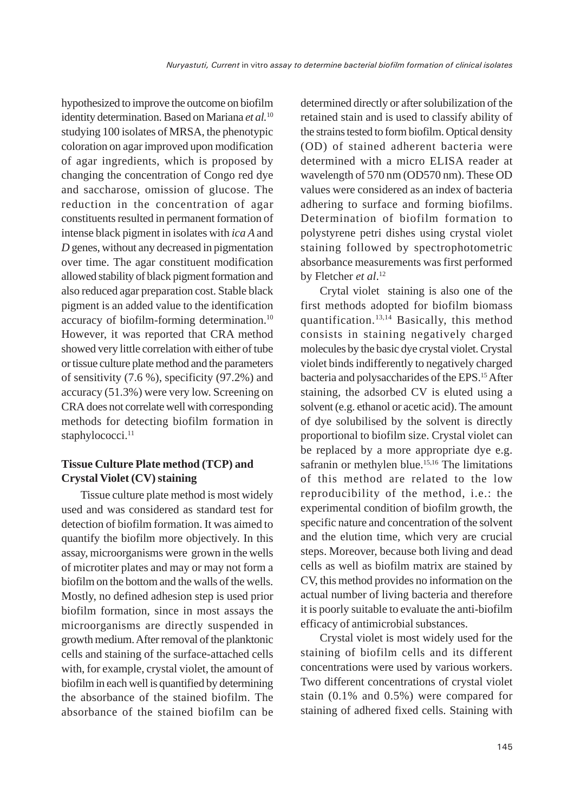hypothesized to improve the outcome on biofilm identity determination. Based on Mariana *et al.*<sup>10</sup> studying 100 isolates of MRSA, the phenotypic coloration on agar improved upon modification of agar ingredients, which is proposed by changing the concentration of Congo red dye and saccharose, omission of glucose. The reduction in the concentration of agar constituents resulted in permanent formation of intense black pigment in isolates with *ica A* and *D* genes, without any decreased in pigmentation over time. The agar constituent modification allowed stability of black pigment formation and also reduced agar preparation cost. Stable black pigment is an added value to the identification accuracy of biofilm-forming determination.10 However, it was reported that CRA method showed very little correlation with either of tube or tissue culture plate method and the parameters of sensitivity (7.6 %), specificity (97.2%) and accuracy (51.3%) were very low. Screening on CRA does not correlate well with corresponding methods for detecting biofilm formation in staphylococci.<sup>11</sup>

## **Tissue Culture Plate method (TCP) and Crystal Violet (CV) staining**

Tissue culture plate method is most widely used and was considered as standard test for detection of biofilm formation. It was aimed to quantify the biofilm more objectively. In this assay, microorganisms were grown in the wells of microtiter plates and may or may not form a biofilm on the bottom and the walls of the wells. Mostly, no defined adhesion step is used prior biofilm formation, since in most assays the microorganisms are directly suspended in growth medium. After removal of the planktonic cells and staining of the surface-attached cells with, for example, crystal violet, the amount of biofilm in each well is quantified by determining the absorbance of the stained biofilm. The absorbance of the stained biofilm can be

determined directly or after solubilization of the retained stain and is used to classify ability of the strains tested to form biofilm. Optical density (OD) of stained adherent bacteria were determined with a micro ELISA reader at wavelength of 570 nm (OD570 nm). These OD values were considered as an index of bacteria adhering to surface and forming biofilms. Determination of biofilm formation to polystyrene petri dishes using crystal violet staining followed by spectrophotometric absorbance measurements was first performed by Fletcher *et al*. 12

Crytal violet staining is also one of the first methods adopted for biofilm biomass quantification.13,14 Basically, this method consists in staining negatively charged molecules by the basic dye crystal violet. Crystal violet binds indifferently to negatively charged bacteria and polysaccharides of the EPS.15 After staining, the adsorbed CV is eluted using a solvent (e.g. ethanol or acetic acid). The amount of dye solubilised by the solvent is directly proportional to biofilm size. Crystal violet can be replaced by a more appropriate dye e.g. safranin or methylen blue.<sup>15,16</sup> The limitations of this method are related to the low reproducibility of the method, i.e.: the experimental condition of biofilm growth, the specific nature and concentration of the solvent and the elution time, which very are crucial steps. Moreover, because both living and dead cells as well as biofilm matrix are stained by CV, this method provides no information on the actual number of living bacteria and therefore it is poorly suitable to evaluate the anti-biofilm efficacy of antimicrobial substances.

Crystal violet is most widely used for the staining of biofilm cells and its different concentrations were used by various workers. Two different concentrations of crystal violet stain (0.1% and 0.5%) were compared for staining of adhered fixed cells. Staining with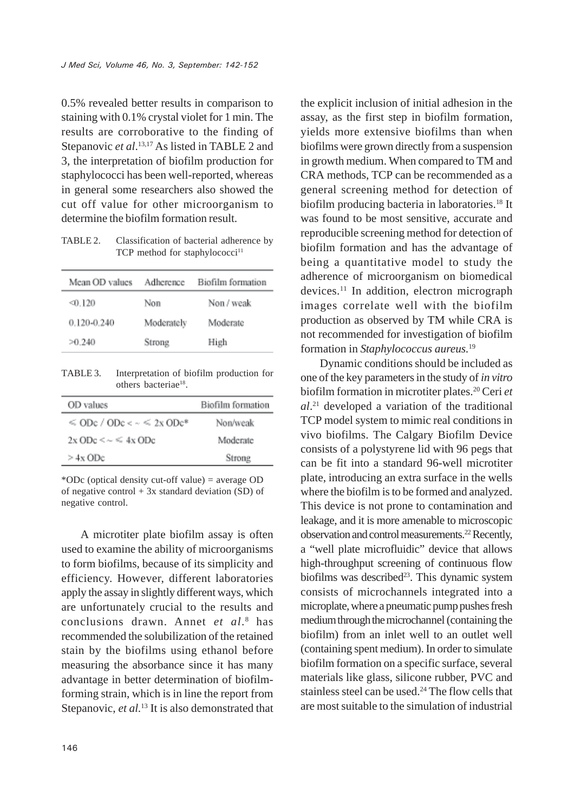0.5% revealed better results in comparison to staining with 0.1% crystal violet for 1 min. The results are corroborative to the finding of Stepanovic *et al.*<sup>13,17</sup> As listed in TABLE 2 and 3, the interpretation of biofilm production for staphylococci has been well-reported, whereas in general some researchers also showed the cut off value for other microorganism to determine the biofilm formation result.

TABLE 2. Classification of bacterial adherence by TCP method for staphylococci<sup>11</sup>

| Mean OD values  | Adherence  | Biofilm formation |
|-----------------|------------|-------------------|
| 40.120          | Non        | Non / weak        |
| $0.120 - 0.240$ | Moderately | Moderate          |
| >0.240          | Strong     | High              |

TABLE 3. Interpretation of biofilm production for others bacteriae<sup>18</sup>.

| OD values                              | Biofilm formation |
|----------------------------------------|-------------------|
| $\le$ ODc / ODc < $\sim$ $\le$ 2x ODc* | Non/weak          |
| $2x$ ODc $\leq \sim \leq 4x$ ODc       | Moderate          |
| $> 4x$ ODc                             | Strong            |

\*ODc (optical density cut-off value) = average OD of negative control  $+3x$  standard deviation (SD) of negative control.

A microtiter plate biofilm assay is often used to examine the ability of microorganisms to form biofilms, because of its simplicity and efficiency. However, different laboratories apply the assay in slightly different ways, which are unfortunately crucial to the results and conclusions drawn. Annet *et al*. 8 has recommended the solubilization of the retained stain by the biofilms using ethanol before measuring the absorbance since it has many advantage in better determination of biofilmforming strain, which is in line the report from Stepanovic, *et al.*<sup>13</sup> It is also demonstrated that the explicit inclusion of initial adhesion in the assay, as the first step in biofilm formation, yields more extensive biofilms than when biofilms were grown directly from a suspension in growth medium. When compared to TM and CRA methods, TCP can be recommended as a general screening method for detection of biofilm producing bacteria in laboratories.<sup>18</sup> It was found to be most sensitive, accurate and reproducible screening method for detection of biofilm formation and has the advantage of being a quantitative model to study the adherence of microorganism on biomedical devices.11 In addition, electron micrograph images correlate well with the biofilm production as observed by TM while CRA is not recommended for investigation of biofilm formation in *Staphylococcus aureus.*<sup>19</sup>

Dynamic conditions should be included as one of the key parameters in the study of *in vitro* biofilm formation in microtiter plates.20 Ceri *et al*. 21 developed a variation of the traditional TCP model system to mimic real conditions in vivo biofilms. The Calgary Biofilm Device consists of a polystyrene lid with 96 pegs that can be fit into a standard 96-well microtiter plate, introducing an extra surface in the wells where the biofilm is to be formed and analyzed. This device is not prone to contamination and leakage, and it is more amenable to microscopic observation and control measurements.22 Recently, a "well plate microfluidic" device that allows high-throughput screening of continuous flow biofilms was described<sup>23</sup>. This dynamic system consists of microchannels integrated into a microplate, where a pneumatic pump pushes fresh medium through the microchannel (containing the biofilm) from an inlet well to an outlet well (containing spent medium). In order to simulate biofilm formation on a specific surface, several materials like glass, silicone rubber, PVC and stainless steel can be used. $24$  The flow cells that are most suitable to the simulation of industrial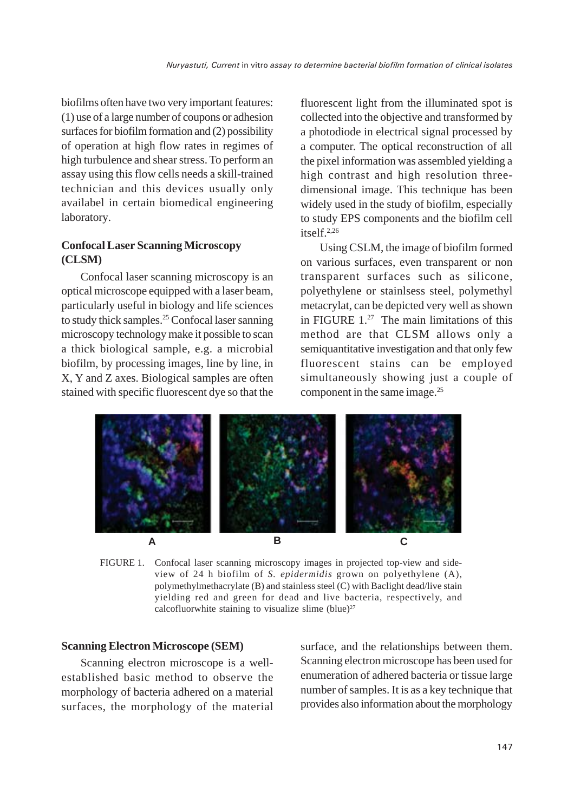biofilms often have two very important features: (1) use of a large number of coupons or adhesion surfaces for biofilm formation and (2) possibility of operation at high flow rates in regimes of high turbulence and shear stress. To perform an assay using this flow cells needs a skill-trained technician and this devices usually only availabel in certain biomedical engineering laboratory.

# **Confocal Laser Scanning Microscopy (CLSM)**

Confocal laser scanning microscopy is an optical microscope equipped with a laser beam, particularly useful in biology and life sciences to study thick samples.25 Confocal laser sanning microscopy technology make it possible to scan a thick biological sample, e.g. a microbial biofilm, by processing images, line by line, in X, Y and Z axes. Biological samples are often stained with specific fluorescent dye so that the fluorescent light from the illuminated spot is collected into the objective and transformed by a photodiode in electrical signal processed by a computer. The optical reconstruction of all the pixel information was assembled yielding a high contrast and high resolution threedimensional image. This technique has been widely used in the study of biofilm, especially to study EPS components and the biofilm cell itself.2,26

Using CSLM, the image of biofilm formed on various surfaces, even transparent or non transparent surfaces such as silicone, polyethylene or stainlsess steel, polymethyl metacrylat, can be depicted very well as shown in FIGURE 1.27 The main limitations of this method are that CLSM allows only a semiquantitative investigation and that only few fluorescent stains can be employed simultaneously showing just a couple of component in the same image.25



FIGURE 1. Confocal laser scanning microscopy images in projected top-view and sideview of 24 h biofilm of *S. epidermidis* grown on polyethylene (A), polymethylmethacrylate (B) and stainless steel (C) with Baclight dead/live stain yielding red and green for dead and live bacteria, respectively, and calcofluorwhite staining to visualize slime (blue) $27$ 

#### **Scanning Electron Microscope (SEM)**

Scanning electron microscope is a wellestablished basic method to observe the morphology of bacteria adhered on a material surfaces, the morphology of the material surface, and the relationships between them. Scanning electron microscope has been used for enumeration of adhered bacteria or tissue large number of samples. It is as a key technique that provides also information about the morphology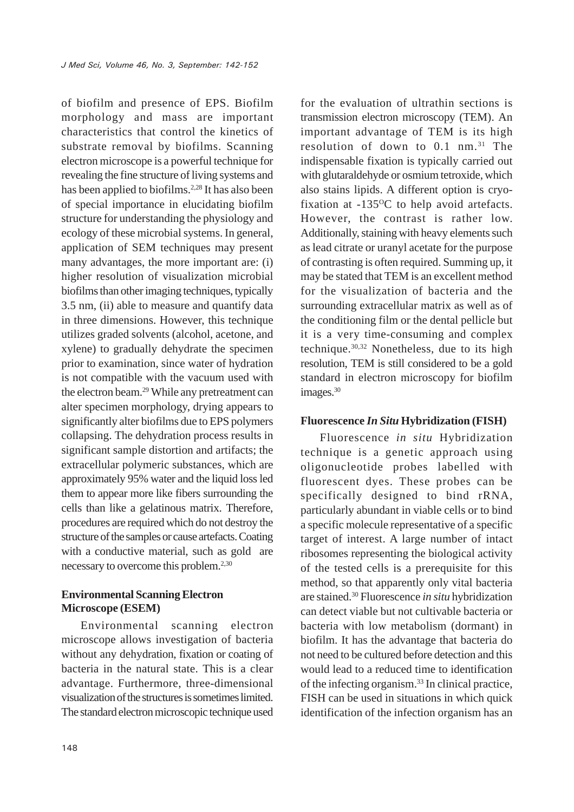of biofilm and presence of EPS. Biofilm morphology and mass are important characteristics that control the kinetics of substrate removal by biofilms. Scanning electron microscope is a powerful technique for revealing the fine structure of living systems and has been applied to biofilms.<sup>2,28</sup> It has also been of special importance in elucidating biofilm structure for understanding the physiology and ecology of these microbial systems. In general, application of SEM techniques may present many advantages, the more important are: (i) higher resolution of visualization microbial biofilms than other imaging techniques, typically 3.5 nm, (ii) able to measure and quantify data in three dimensions. However, this technique utilizes graded solvents (alcohol, acetone, and xylene) to gradually dehydrate the specimen prior to examination, since water of hydration is not compatible with the vacuum used with the electron beam.29 While any pretreatment can alter specimen morphology, drying appears to significantly alter biofilms due to EPS polymers collapsing. The dehydration process results in significant sample distortion and artifacts; the extracellular polymeric substances, which are approximately 95% water and the liquid loss led them to appear more like fibers surrounding the cells than like a gelatinous matrix. Therefore, procedures are required which do not destroy the structure of the samples or cause artefacts. Coating with a conductive material, such as gold are necessary to overcome this problem.<sup>2,30</sup>

# **Environmental Scanning Electron Microscope (ESEM)**

Environmental scanning electron microscope allows investigation of bacteria without any dehydration, fixation or coating of bacteria in the natural state. This is a clear advantage. Furthermore, three-dimensional visualization of the structures is sometimes limited. The standard electron microscopic technique used for the evaluation of ultrathin sections is transmission electron microscopy (TEM). An important advantage of TEM is its high resolution of down to 0.1 nm.<sup>31</sup> The indispensable fixation is typically carried out with glutaraldehyde or osmium tetroxide, which also stains lipids. A different option is cryofixation at  $-135^{\circ}$ C to help avoid artefacts. However, the contrast is rather low. Additionally, staining with heavy elements such as lead citrate or uranyl acetate for the purpose of contrasting is often required. Summing up, it may be stated that TEM is an excellent method for the visualization of bacteria and the surrounding extracellular matrix as well as of the conditioning film or the dental pellicle but it is a very time-consuming and complex technique.30,32 Nonetheless, due to its high resolution, TEM is still considered to be a gold standard in electron microscopy for biofilm images.<sup>30</sup>

#### **Fluorescence** *In Situ* **Hybridization (FISH)**

Fluorescence *in situ* Hybridization technique is a genetic approach using oligonucleotide probes labelled with fluorescent dyes. These probes can be specifically designed to bind rRNA, particularly abundant in viable cells or to bind a specific molecule representative of a specific target of interest. A large number of intact ribosomes representing the biological activity of the tested cells is a prerequisite for this method, so that apparently only vital bacteria are stained.30 Fluorescence *in situ* hybridization can detect viable but not cultivable bacteria or bacteria with low metabolism (dormant) in biofilm. It has the advantage that bacteria do not need to be cultured before detection and this would lead to a reduced time to identification of the infecting organism.33 In clinical practice, FISH can be used in situations in which quick identification of the infection organism has an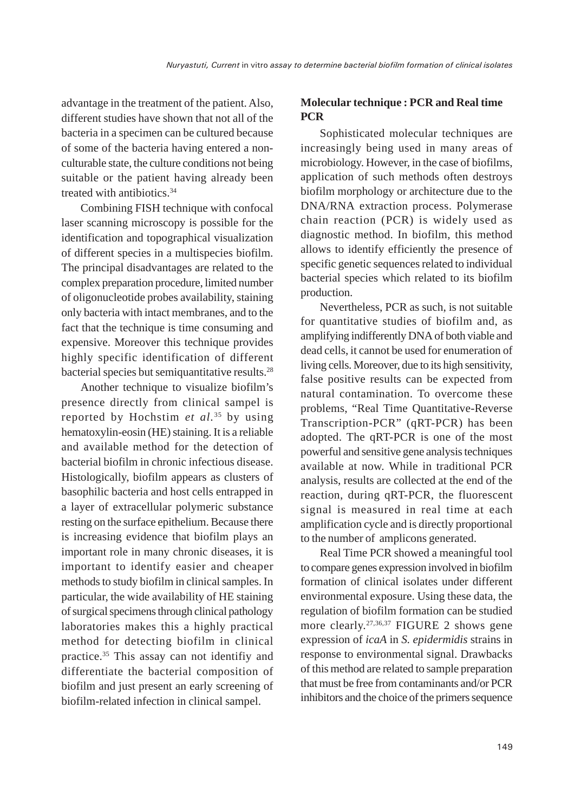advantage in the treatment of the patient. Also, different studies have shown that not all of the bacteria in a specimen can be cultured because of some of the bacteria having entered a nonculturable state, the culture conditions not being suitable or the patient having already been treated with antibiotics.34

Combining FISH technique with confocal laser scanning microscopy is possible for the identification and topographical visualization of different species in a multispecies biofilm. The principal disadvantages are related to the complex preparation procedure, limited number of oligonucleotide probes availability, staining only bacteria with intact membranes, and to the fact that the technique is time consuming and expensive. Moreover this technique provides highly specific identification of different bacterial species but semiquantitative results.28

Another technique to visualize biofilm's presence directly from clinical sampel is reported by Hochstim *et al.*35 by using hematoxylin-eosin (HE) staining. It is a reliable and available method for the detection of bacterial biofilm in chronic infectious disease. Histologically, biofilm appears as clusters of basophilic bacteria and host cells entrapped in a layer of extracellular polymeric substance resting on the surface epithelium. Because there is increasing evidence that biofilm plays an important role in many chronic diseases, it is important to identify easier and cheaper methods to study biofilm in clinical samples. In particular, the wide availability of HE staining of surgical specimens through clinical pathology laboratories makes this a highly practical method for detecting biofilm in clinical practice.35 This assay can not identifiy and differentiate the bacterial composition of biofilm and just present an early screening of biofilm-related infection in clinical sampel.

# **Molecular technique : PCR and Real time PCR**

Sophisticated molecular techniques are increasingly being used in many areas of microbiology. However, in the case of biofilms, application of such methods often destroys biofilm morphology or architecture due to the DNA/RNA extraction process. Polymerase chain reaction (PCR) is widely used as diagnostic method. In biofilm, this method allows to identify efficiently the presence of specific genetic sequences related to individual bacterial species which related to its biofilm production.

Nevertheless, PCR as such, is not suitable for quantitative studies of biofilm and, as amplifying indifferently DNA of both viable and dead cells, it cannot be used for enumeration of living cells. Moreover, due to its high sensitivity, false positive results can be expected from natural contamination. To overcome these problems, "Real Time Quantitative-Reverse Transcription-PCR" (qRT-PCR) has been adopted. The qRT-PCR is one of the most powerful and sensitive gene analysis techniques available at now. While in traditional PCR analysis, results are collected at the end of the reaction, during qRT-PCR, the fluorescent signal is measured in real time at each amplification cycle and is directly proportional to the number of amplicons generated.

Real Time PCR showed a meaningful tool to compare genes expression involved in biofilm formation of clinical isolates under different environmental exposure. Using these data, the regulation of biofilm formation can be studied more clearly.27,36,37 FIGURE 2 shows gene expression of *icaA* in *S. epidermidis* strains in response to environmental signal. Drawbacks of this method are related to sample preparation that must be free from contaminants and/or PCR inhibitors and the choice of the primers sequence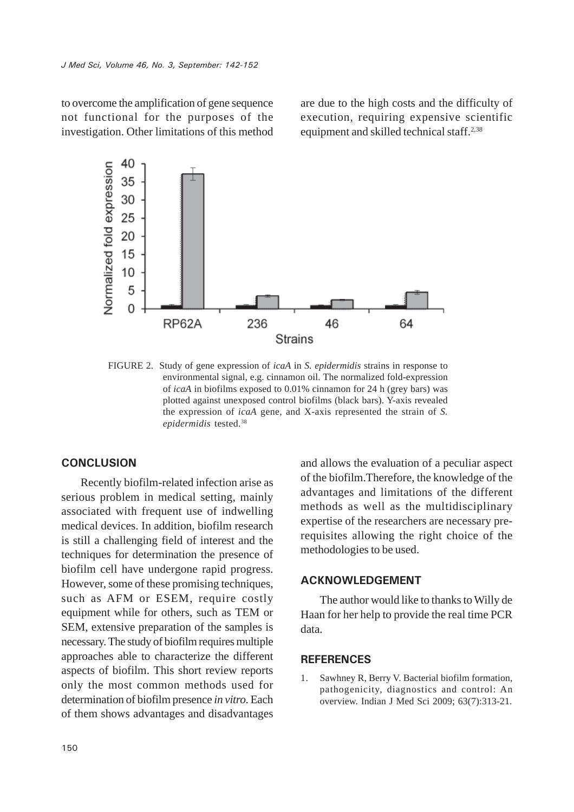to overcome the amplification of gene sequence not functional for the purposes of the investigation. Other limitations of this method are due to the high costs and the difficulty of execution, requiring expensive scientific equipment and skilled technical staff.2,38



FIGURE 2. Study of gene expression of *icaA* in *S. epidermidis* strains in response to environmental signal, e.g. cinnamon oil. The normalized fold-expression of *icaA* in biofilms exposed to 0.01% cinnamon for 24 h (grey bars) was plotted against unexposed control biofilms (black bars). Y-axis revealed the expression of *icaA* gene, and X-axis represented the strain of *S. epidermidis* tested.38

#### **CONCLUSION**

Recently biofilm-related infection arise as serious problem in medical setting, mainly associated with frequent use of indwelling medical devices. In addition, biofilm research is still a challenging field of interest and the techniques for determination the presence of biofilm cell have undergone rapid progress. However, some of these promising techniques, such as AFM or ESEM, require costly equipment while for others, such as TEM or SEM, extensive preparation of the samples is necessary. The study of biofilm requires multiple approaches able to characterize the different aspects of biofilm. This short review reports only the most common methods used for determination of biofilm presence *in vitro*. Each of them shows advantages and disadvantages

and allows the evaluation of a peculiar aspect of the biofilm.Therefore, the knowledge of the advantages and limitations of the different methods as well as the multidisciplinary expertise of the researchers are necessary prerequisites allowing the right choice of the methodologies to be used.

## **ACKNOWLEDGEMENT**

The author would like to thanks to Willy de Haan for her help to provide the real time PCR data.

#### **REFERENCES**

1. Sawhney R, Berry V. Bacterial biofilm formation, pathogenicity, diagnostics and control: An overview. Indian J Med Sci 2009; 63(7):313-21.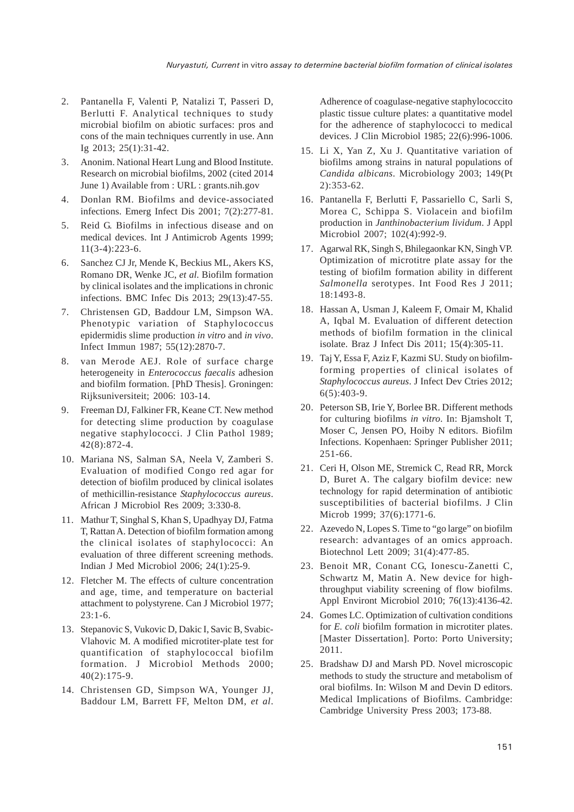- 2. Pantanella F, Valenti P, Natalizi T, Passeri D, Berlutti F. Analytical techniques to study microbial biofilm on abiotic surfaces: pros and cons of the main techniques currently in use. Ann Ig 2013; 25(1):31-42.
- 3. Anonim. National Heart Lung and Blood Institute. Research on microbial biofilms, 2002 (cited 2014 June 1) Available from : URL : grants.nih.gov
- 4. Donlan RM. Biofilms and device-associated infections. Emerg Infect Dis 2001; 7(2):277-81.
- 5. Reid G. Biofilms in infectious disease and on medical devices. Int J Antimicrob Agents 1999; 11(3-4):223-6.
- 6. Sanchez CJ Jr, Mende K, Beckius ML, Akers KS, Romano DR, Wenke JC, *et al*. Biofilm formation by clinical isolates and the implications in chronic infections. BMC Infec Dis 2013; 29(13):47-55.
- 7. Christensen GD, Baddour LM, Simpson WA. Phenotypic variation of Staphylococcus epidermidis slime production *in vitro* and *in vivo*. Infect Immun 1987; 55(12):2870-7.
- 8. van Merode AEJ. Role of surface charge heterogeneity in *Enterococcus faecalis* adhesion and biofilm formation. [PhD Thesis]. Groningen: Rijksuniversiteit; 2006: 103-14.
- 9. Freeman DJ, Falkiner FR, Keane CT. New method for detecting slime production by coagulase negative staphylococci. J Clin Pathol 1989; 42(8):872-4.
- 10. Mariana NS, Salman SA, Neela V, Zamberi S. Evaluation of modified Congo red agar for detection of biofilm produced by clinical isolates of methicillin-resistance *Staphylococcus aureus*. African J Microbiol Res 2009; 3:330-8.
- 11. Mathur T, Singhal S, Khan S, Upadhyay DJ, Fatma T, Rattan A. Detection of biofilm formation among the clinical isolates of staphylococci: An evaluation of three different screening methods. Indian J Med Microbiol 2006; 24(1):25-9.
- 12. Fletcher M. The effects of culture concentration and age, time, and temperature on bacterial attachment to polystyrene. Can J Microbiol 1977; 23:1-6.
- 13. Stepanovic S, Vukovic D, Dakic I, Savic B, Svabic-Vlahovic M. A modified microtiter-plate test for quantification of staphylococcal biofilm formation. J Microbiol Methods 2000; 40(2):175-9.
- 14. Christensen GD, Simpson WA, Younger JJ, Baddour LM, Barrett FF, Melton DM, *et al*.

Adherence of coagulase-negative staphylococcito plastic tissue culture plates: a quantitative model for the adherence of staphylococci to medical devices. J Clin Microbiol 1985; 22(6):996-1006.

- 15. Li X, Yan Z, Xu J. Quantitative variation of biofilms among strains in natural populations of *Candida albicans*. Microbiology 2003; 149(Pt 2):353-62.
- 16. Pantanella F, Berlutti F, Passariello C, Sarli S, Morea C, Schippa S. Violacein and biofilm production in *Janthinobacterium lividum*. J Appl Microbiol 2007; 102(4):992-9.
- 17. Agarwal RK, Singh S, Bhilegaonkar KN, Singh VP. Optimization of microtitre plate assay for the testing of biofilm formation ability in different *Salmonella* serotypes. Int Food Res J 2011; 18:1493-8.
- 18. Hassan A, Usman J, Kaleem F, Omair M, Khalid A, Iqbal M. Evaluation of different detection methods of biofilm formation in the clinical isolate. Braz J Infect Dis 2011; 15(4):305-11.
- 19. Taj Y, Essa F, Aziz F, Kazmi SU. Study on biofilmforming properties of clinical isolates of *Staphylococcus aureus*. J Infect Dev Ctries 2012; 6(5):403-9.
- 20. Peterson SB, Irie Y, Borlee BR. Different methods for culturing biofilms *in vitro*. In: Bjamsholt T, Moser C, Jensen PO, Hoiby N editors. Biofilm Infections. Kopenhaen: Springer Publisher 2011; 251-66.
- 21. Ceri H, Olson ME, Stremick C, Read RR, Morck D, Buret A. The calgary biofilm device: new technology for rapid determination of antibiotic susceptibilities of bacterial biofilms. J Clin Microb 1999; 37(6):1771-6.
- 22. Azevedo N, Lopes S. Time to "go large" on biofilm research: advantages of an omics approach. Biotechnol Lett 2009; 31(4):477-85.
- 23. Benoit MR, Conant CG, Ionescu-Zanetti C, Schwartz M, Matin A. New device for highthroughput viability screening of flow biofilms. Appl Environt Microbiol 2010; 76(13):4136-42.
- 24. Gomes LC. Optimization of cultivation conditions for *E. coli* biofilm formation in microtiter plates. [Master Dissertation]. Porto: Porto University; 2011.
- 25. Bradshaw DJ and Marsh PD. Novel microscopic methods to study the structure and metabolism of oral biofilms. In: Wilson M and Devin D editors. Medical Implications of Biofilms. Cambridge: Cambridge University Press 2003; 173-88.